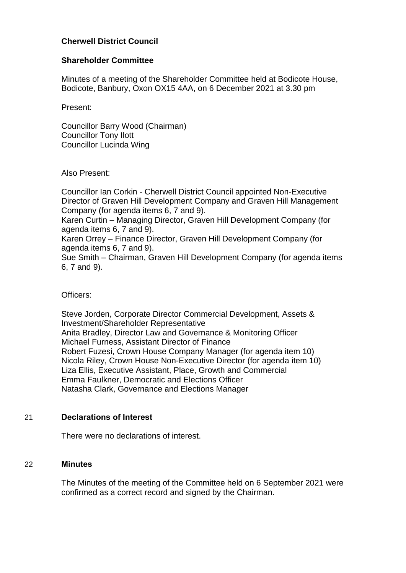# **Cherwell District Council**

## **Shareholder Committee**

Minutes of a meeting of the Shareholder Committee held at Bodicote House, Bodicote, Banbury, Oxon OX15 4AA, on 6 December 2021 at 3.30 pm

Present:

Councillor Barry Wood (Chairman) Councillor Tony Ilott Councillor Lucinda Wing

Also Present:

Councillor Ian Corkin - Cherwell District Council appointed Non-Executive Director of Graven Hill Development Company and Graven Hill Management Company (for agenda items 6, 7 and 9). Karen Curtin – Managing Director, Graven Hill Development Company (for agenda items 6, 7 and 9). Karen Orrey – Finance Director, Graven Hill Development Company (for agenda items 6, 7 and 9). Sue Smith – Chairman, Graven Hill Development Company (for agenda items 6, 7 and 9).

Officers:

Steve Jorden, Corporate Director Commercial Development, Assets & Investment/Shareholder Representative Anita Bradley, Director Law and Governance & Monitoring Officer Michael Furness, Assistant Director of Finance Robert Fuzesi, Crown House Company Manager (for agenda item 10) Nicola Riley, Crown House Non-Executive Director (for agenda item 10) Liza Ellis, Executive Assistant, Place, Growth and Commercial Emma Faulkner, Democratic and Elections Officer Natasha Clark, Governance and Elections Manager

## 21 **Declarations of Interest**

There were no declarations of interest.

#### 22 **Minutes**

The Minutes of the meeting of the Committee held on 6 September 2021 were confirmed as a correct record and signed by the Chairman.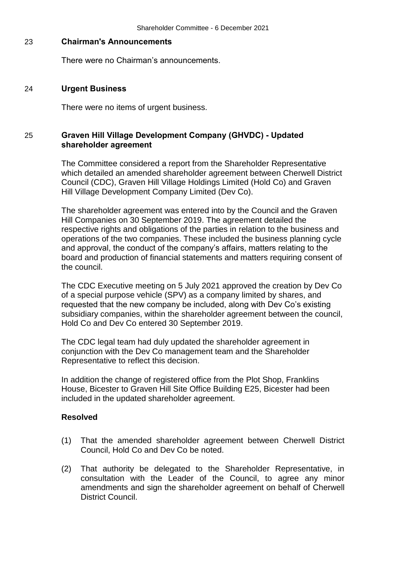### 23 **Chairman's Announcements**

There were no Chairman's announcements.

### 24 **Urgent Business**

There were no items of urgent business.

## 25 **Graven Hill Village Development Company (GHVDC) - Updated shareholder agreement**

The Committee considered a report from the Shareholder Representative which detailed an amended shareholder agreement between Cherwell District Council (CDC), Graven Hill Village Holdings Limited (Hold Co) and Graven Hill Village Development Company Limited (Dev Co).

The shareholder agreement was entered into by the Council and the Graven Hill Companies on 30 September 2019. The agreement detailed the respective rights and obligations of the parties in relation to the business and operations of the two companies. These included the business planning cycle and approval, the conduct of the company's affairs, matters relating to the board and production of financial statements and matters requiring consent of the council.

The CDC Executive meeting on 5 July 2021 approved the creation by Dev Co of a special purpose vehicle (SPV) as a company limited by shares, and requested that the new company be included, along with Dev Co's existing subsidiary companies, within the shareholder agreement between the council, Hold Co and Dev Co entered 30 September 2019.

The CDC legal team had duly updated the shareholder agreement in conjunction with the Dev Co management team and the Shareholder Representative to reflect this decision.

In addition the change of registered office from the Plot Shop, Franklins House, Bicester to Graven Hill Site Office Building E25, Bicester had been included in the updated shareholder agreement.

## **Resolved**

- (1) That the amended shareholder agreement between Cherwell District Council, Hold Co and Dev Co be noted.
- (2) That authority be delegated to the Shareholder Representative, in consultation with the Leader of the Council, to agree any minor amendments and sign the shareholder agreement on behalf of Cherwell District Council.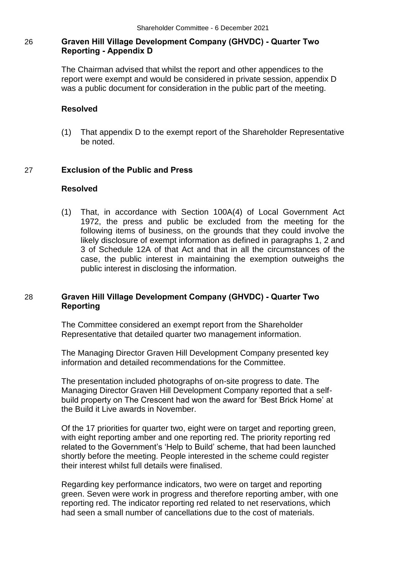# 26 **Graven Hill Village Development Company (GHVDC) - Quarter Two Reporting - Appendix D**

The Chairman advised that whilst the report and other appendices to the report were exempt and would be considered in private session, appendix D was a public document for consideration in the public part of the meeting.

### **Resolved**

(1) That appendix D to the exempt report of the Shareholder Representative be noted.

### 27 **Exclusion of the Public and Press**

#### **Resolved**

(1) That, in accordance with Section 100A(4) of Local Government Act 1972, the press and public be excluded from the meeting for the following items of business, on the grounds that they could involve the likely disclosure of exempt information as defined in paragraphs 1, 2 and 3 of Schedule 12A of that Act and that in all the circumstances of the case, the public interest in maintaining the exemption outweighs the public interest in disclosing the information.

## 28 **Graven Hill Village Development Company (GHVDC) - Quarter Two Reporting**

The Committee considered an exempt report from the Shareholder Representative that detailed quarter two management information.

The Managing Director Graven Hill Development Company presented key information and detailed recommendations for the Committee.

The presentation included photographs of on-site progress to date. The Managing Director Graven Hill Development Company reported that a selfbuild property on The Crescent had won the award for 'Best Brick Home' at the Build it Live awards in November.

Of the 17 priorities for quarter two, eight were on target and reporting green, with eight reporting amber and one reporting red. The priority reporting red related to the Government's 'Help to Build' scheme, that had been launched shortly before the meeting. People interested in the scheme could register their interest whilst full details were finalised.

Regarding key performance indicators, two were on target and reporting green. Seven were work in progress and therefore reporting amber, with one reporting red. The indicator reporting red related to net reservations, which had seen a small number of cancellations due to the cost of materials.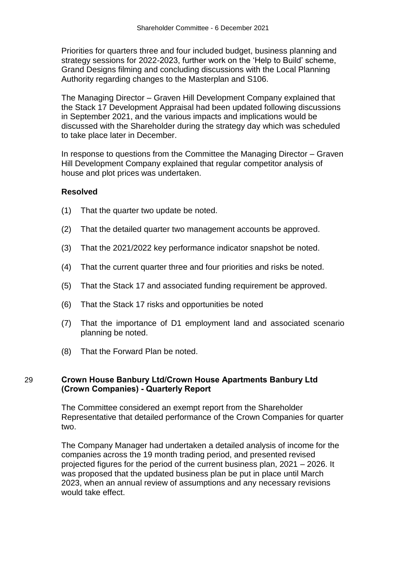Priorities for quarters three and four included budget, business planning and strategy sessions for 2022-2023, further work on the 'Help to Build' scheme, Grand Designs filming and concluding discussions with the Local Planning Authority regarding changes to the Masterplan and S106.

The Managing Director – Graven Hill Development Company explained that the Stack 17 Development Appraisal had been updated following discussions in September 2021, and the various impacts and implications would be discussed with the Shareholder during the strategy day which was scheduled to take place later in December.

In response to questions from the Committee the Managing Director – Graven Hill Development Company explained that regular competitor analysis of house and plot prices was undertaken.

### **Resolved**

- (1) That the quarter two update be noted.
- (2) That the detailed quarter two management accounts be approved.
- (3) That the 2021/2022 key performance indicator snapshot be noted.
- (4) That the current quarter three and four priorities and risks be noted.
- (5) That the Stack 17 and associated funding requirement be approved.
- (6) That the Stack 17 risks and opportunities be noted
- (7) That the importance of D1 employment land and associated scenario planning be noted.
- (8) That the Forward Plan be noted.

#### 29 **Crown House Banbury Ltd/Crown House Apartments Banbury Ltd (Crown Companies) - Quarterly Report**

The Committee considered an exempt report from the Shareholder Representative that detailed performance of the Crown Companies for quarter two.

The Company Manager had undertaken a detailed analysis of income for the companies across the 19 month trading period, and presented revised projected figures for the period of the current business plan, 2021 – 2026. It was proposed that the updated business plan be put in place until March 2023, when an annual review of assumptions and any necessary revisions would take effect.